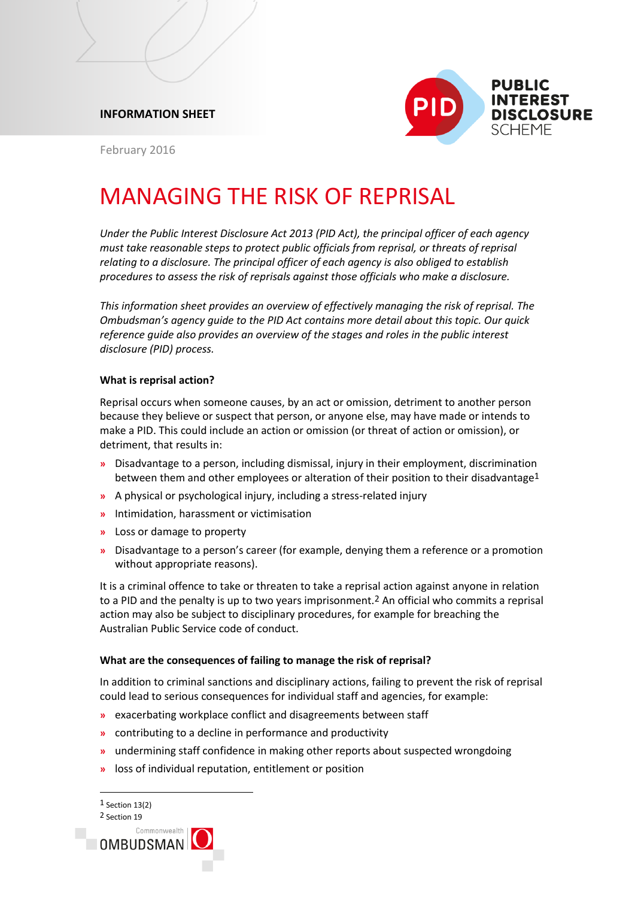



February 2016

# MANAGING THE RISK OF REPRISAL

*Under the Public Interest Disclosure Act 2013 (PID Act), the principal officer of each agency must take reasonable steps to protect public officials from reprisal, or threats of reprisal relating to a disclosure. The principal officer of each agency is also obliged to establish procedures to assess the risk of reprisals against those officials who make a disclosure.*

*This information sheet provides an overview of effectively managing the risk of reprisal. The Ombudsman's agency guide to the PID Act contains more detail about this topic. Our quick reference guide also provides an overview of the stages and roles in the public interest disclosure (PID) process.*

# **What is reprisal action?**

Reprisal occurs when someone causes, by an act or omission, detriment to another person because they believe or suspect that person, or anyone else, may have made or intends to make a PID. This could include an action or omission (or threat of action or omission), or detriment, that results in:

- **»** Disadvantage to a person, including dismissal, injury in their employment, discrimination between them and other employees or alteration of their position to their disadvantage<sup>1</sup>
- **»** A physical or psychological injury, including a stress-related injury
- **»** Intimidation, harassment or victimisation
- **»** Loss or damage to property
- **»** Disadvantage to a person's career (for example, denying them a reference or a promotion without appropriate reasons).

It is a criminal offence to take or threaten to take a reprisal action against anyone in relation to a PID and the penalty is up to two years imprisonment.2 An official who commits a reprisal action may also be subject to disciplinary procedures, for example for breaching the Australian Public Service code of conduct.

# **What are the consequences of failing to manage the risk of reprisal?**

In addition to criminal sanctions and disciplinary actions, failing to prevent the risk of reprisal could lead to serious consequences for individual staff and agencies, for example:

- **»** exacerbating workplace conflict and disagreements between staff
- **»** contributing to a decline in performance and productivity
- **»** undermining staff confidence in making other reports about suspected wrongdoing
- **»** loss of individual reputation, entitlement or position

l 1 Section 13(2) 2 Section 19

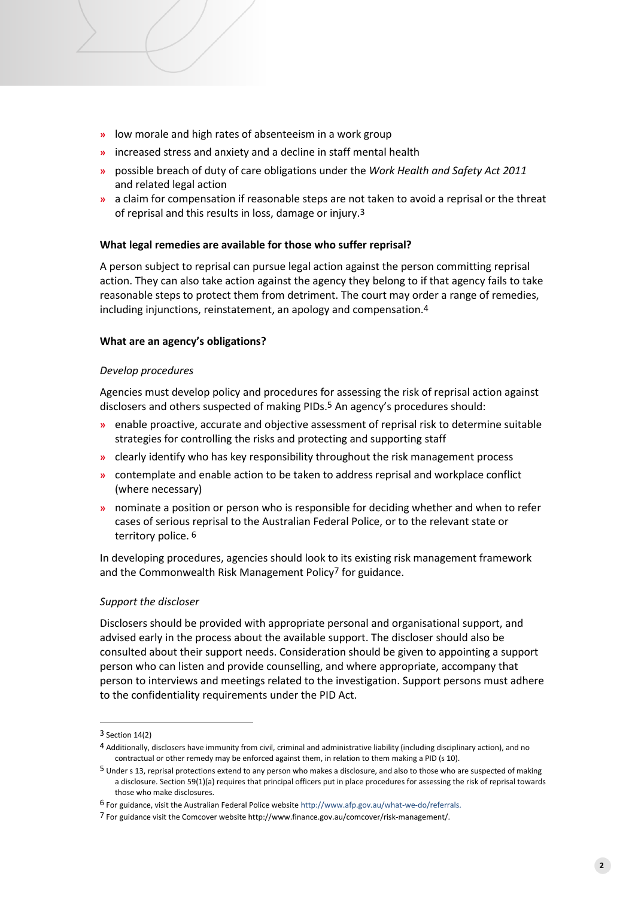- **»** low morale and high rates of absenteeism in a work group
- **»** increased stress and anxiety and a decline in staff mental health
- **»** possible breach of duty of care obligations under the *Work Health and Safety Act 2011*  and related legal action
- **»** a claim for compensation if reasonable steps are not taken to avoid a reprisal or the threat of reprisal and this results in loss, damage or injury.3

## **What legal remedies are available for those who suffer reprisal?**

A person subject to reprisal can pursue legal action against the person committing reprisal action. They can also take action against the agency they belong to if that agency fails to take reasonable steps to protect them from detriment. The court may order a range of remedies, including injunctions, reinstatement, an apology and compensation.4

## **What are an agency's obligations?**

#### *Develop procedures*

Agencies must develop policy and procedures for assessing the risk of reprisal action against disclosers and others suspected of making PIDs.5 An agency's procedures should:

- **»** enable proactive, accurate and objective assessment of reprisal risk to determine suitable strategies for controlling the risks and protecting and supporting staff
- **»** clearly identify who has key responsibility throughout the risk management process
- **»** contemplate and enable action to be taken to address reprisal and workplace conflict (where necessary)
- **»** nominate a position or person who is responsible for deciding whether and when to refer cases of serious reprisal to the Australian Federal Police, or to the relevant state or territory police. 6

In developing procedures, agencies should look to its existing risk management framework and the Commonwealth Risk Management Policy<sup>7</sup> for guidance.

#### *Support the discloser*

Disclosers should be provided with appropriate personal and organisational support, and advised early in the process about the available support. The discloser should also be consulted about their support needs. Consideration should be given to appointing a support person who can listen and provide counselling, and where appropriate, accompany that person to interviews and meetings related to the investigation. Support persons must adhere to the confidentiality requirements under the PID Act.

<sup>3</sup> Section 14(2)

<sup>4</sup> Additionally, disclosers have immunity from civil, criminal and administrative liability (including disciplinary action), and no contractual or other remedy may be enforced against them, in relation to them making a PID (s 10).

<sup>5</sup> Under s 13, reprisal protections extend to any person who makes a disclosure, and also to those who are suspected of making a disclosure. Section 59(1)(a) requires that principal officers put in place procedures for assessing the risk of reprisal towards those who make disclosures.

<sup>6</sup> For guidance, visit the Australian Federal Police websit[e http://www.afp.gov.au/what-we-do/referrals.](http://www.afp.gov.au/what-we-do/referrals)

<sup>7</sup> For guidance visit the Comcover website http://www.finance.gov.au/comcover/risk-management/.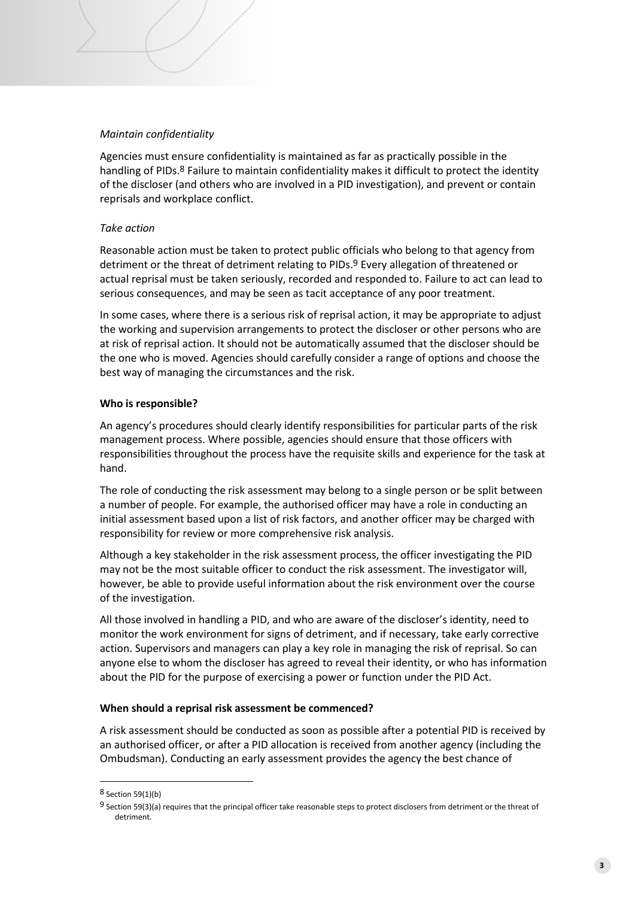# *Maintain confidentiality*

Agencies must ensure confidentiality is maintained as far as practically possible in the handling of PIDs.<sup>8</sup> Failure to maintain confidentiality makes it difficult to protect the identity of the discloser (and others who are involved in a PID investigation), and prevent or contain reprisals and workplace conflict.

# *Take action*

Reasonable action must be taken to protect public officials who belong to that agency from detriment or the threat of detriment relating to PIDs.9 Every allegation of threatened or actual reprisal must be taken seriously, recorded and responded to. Failure to act can lead to serious consequences, and may be seen as tacit acceptance of any poor treatment.

In some cases, where there is a serious risk of reprisal action, it may be appropriate to adjust the working and supervision arrangements to protect the discloser or other persons who are at risk of reprisal action. It should not be automatically assumed that the discloser should be the one who is moved. Agencies should carefully consider a range of options and choose the best way of managing the circumstances and the risk.

# **Who is responsible?**

An agency's procedures should clearly identify responsibilities for particular parts of the risk management process. Where possible, agencies should ensure that those officers with responsibilities throughout the process have the requisite skills and experience for the task at hand.

The role of conducting the risk assessment may belong to a single person or be split between a number of people. For example, the authorised officer may have a role in conducting an initial assessment based upon a list of risk factors, and another officer may be charged with responsibility for review or more comprehensive risk analysis.

Although a key stakeholder in the risk assessment process, the officer investigating the PID may not be the most suitable officer to conduct the risk assessment. The investigator will, however, be able to provide useful information about the risk environment over the course of the investigation.

All those involved in handling a PID, and who are aware of the discloser's identity, need to monitor the work environment for signs of detriment, and if necessary, take early corrective action. Supervisors and managers can play a key role in managing the risk of reprisal. So can anyone else to whom the discloser has agreed to reveal their identity, or who has information about the PID for the purpose of exercising a power or function under the PID Act.

#### **When should a reprisal risk assessment be commenced?**

A risk assessment should be conducted as soon as possible after a potential PID is received by an authorised officer, or after a PID allocation is received from another agency (including the Ombudsman). Conducting an early assessment provides the agency the best chance of

<sup>8</sup> Section 59(1)(b)

<sup>9</sup> Section 59(3)(a) requires that the principal officer take reasonable steps to protect disclosers from detriment or the threat of detriment.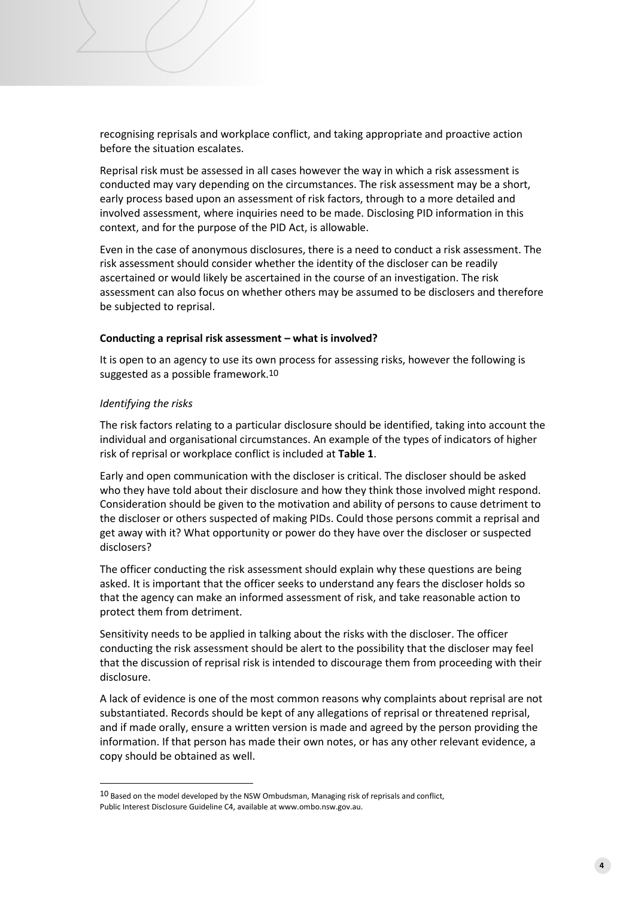recognising reprisals and workplace conflict, and taking appropriate and proactive action before the situation escalates.

Reprisal risk must be assessed in all cases however the way in which a risk assessment is conducted may vary depending on the circumstances. The risk assessment may be a short, early process based upon an assessment of risk factors, through to a more detailed and involved assessment, where inquiries need to be made. Disclosing PID information in this context, and for the purpose of the PID Act, is allowable.

Even in the case of anonymous disclosures, there is a need to conduct a risk assessment. The risk assessment should consider whether the identity of the discloser can be readily ascertained or would likely be ascertained in the course of an investigation. The risk assessment can also focus on whether others may be assumed to be disclosers and therefore be subjected to reprisal.

## **Conducting a reprisal risk assessment – what is involved?**

It is open to an agency to use its own process for assessing risks, however the following is suggested as a possible framework.10

#### *Identifying the risks*

l

The risk factors relating to a particular disclosure should be identified, taking into account the individual and organisational circumstances. An example of the types of indicators of higher risk of reprisal or workplace conflict is included at **Table 1**.

Early and open communication with the discloser is critical. The discloser should be asked who they have told about their disclosure and how they think those involved might respond. Consideration should be given to the motivation and ability of persons to cause detriment to the discloser or others suspected of making PIDs. Could those persons commit a reprisal and get away with it? What opportunity or power do they have over the discloser or suspected disclosers?

The officer conducting the risk assessment should explain why these questions are being asked. It is important that the officer seeks to understand any fears the discloser holds so that the agency can make an informed assessment of risk, and take reasonable action to protect them from detriment.

Sensitivity needs to be applied in talking about the risks with the discloser. The officer conducting the risk assessment should be alert to the possibility that the discloser may feel that the discussion of reprisal risk is intended to discourage them from proceeding with their disclosure.

A lack of evidence is one of the most common reasons why complaints about reprisal are not substantiated. Records should be kept of any allegations of reprisal or threatened reprisal, and if made orally, ensure a written version is made and agreed by the person providing the information. If that person has made their own notes, or has any other relevant evidence, a copy should be obtained as well.

 $10$  Based on the model developed by the NSW Ombudsman, Managing risk of reprisals and conflict, Public Interest Disclosure Guideline C4, available at www.ombo.nsw.gov.au.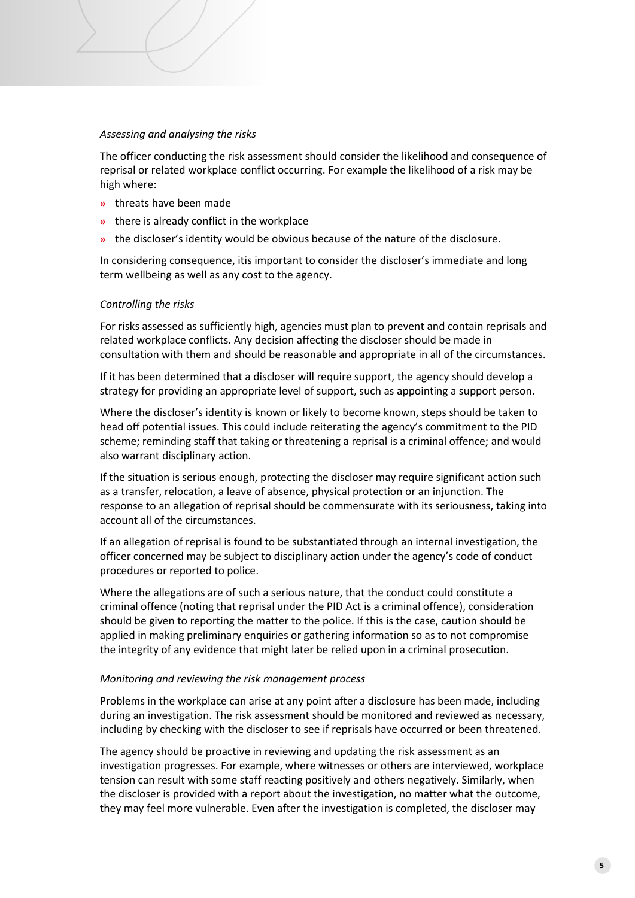## *Assessing and analysing the risks*

The officer conducting the risk assessment should consider the likelihood and consequence of reprisal or related workplace conflict occurring. For example the likelihood of a risk may be high where:

- **»** threats have been made
- **»** there is already conflict in the workplace
- **»** the discloser's identity would be obvious because of the nature of the disclosure.

In considering consequence, itis important to consider the discloser's immediate and long term wellbeing as well as any cost to the agency.

## *Controlling the risks*

For risks assessed as sufficiently high, agencies must plan to prevent and contain reprisals and related workplace conflicts. Any decision affecting the discloser should be made in consultation with them and should be reasonable and appropriate in all of the circumstances.

If it has been determined that a discloser will require support, the agency should develop a strategy for providing an appropriate level of support, such as appointing a support person.

Where the discloser's identity is known or likely to become known, steps should be taken to head off potential issues. This could include reiterating the agency's commitment to the PID scheme; reminding staff that taking or threatening a reprisal is a criminal offence; and would also warrant disciplinary action.

If the situation is serious enough, protecting the discloser may require significant action such as a transfer, relocation, a leave of absence, physical protection or an injunction. The response to an allegation of reprisal should be commensurate with its seriousness, taking into account all of the circumstances.

If an allegation of reprisal is found to be substantiated through an internal investigation, the officer concerned may be subject to disciplinary action under the agency's code of conduct procedures or reported to police.

Where the allegations are of such a serious nature, that the conduct could constitute a criminal offence (noting that reprisal under the PID Act is a criminal offence), consideration should be given to reporting the matter to the police. If this is the case, caution should be applied in making preliminary enquiries or gathering information so as to not compromise the integrity of any evidence that might later be relied upon in a criminal prosecution.

#### *Monitoring and reviewing the risk management process*

Problems in the workplace can arise at any point after a disclosure has been made, including during an investigation. The risk assessment should be monitored and reviewed as necessary, including by checking with the discloser to see if reprisals have occurred or been threatened.

The agency should be proactive in reviewing and updating the risk assessment as an investigation progresses. For example, where witnesses or others are interviewed, workplace tension can result with some staff reacting positively and others negatively. Similarly, when the discloser is provided with a report about the investigation, no matter what the outcome, they may feel more vulnerable. Even after the investigation is completed, the discloser may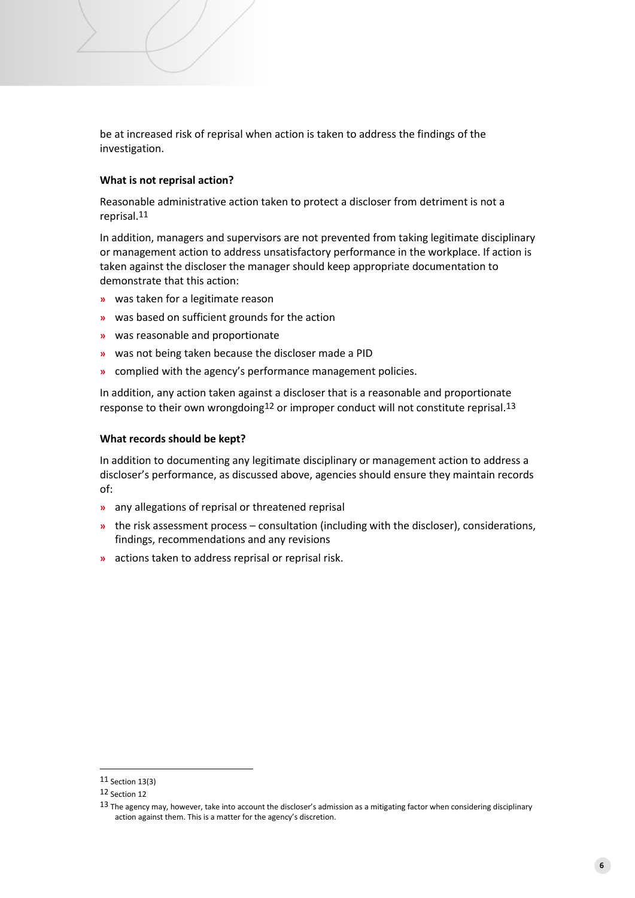be at increased risk of reprisal when action is taken to address the findings of the investigation.

# **What is not reprisal action?**

Reasonable administrative action taken to protect a discloser from detriment is not a reprisal.11

In addition, managers and supervisors are not prevented from taking legitimate disciplinary or management action to address unsatisfactory performance in the workplace. If action is taken against the discloser the manager should keep appropriate documentation to demonstrate that this action:

- **»** was taken for a legitimate reason
- **»** was based on sufficient grounds for the action
- **»** was reasonable and proportionate
- **»** was not being taken because the discloser made a PID
- **»** complied with the agency's performance management policies.

In addition, any action taken against a discloser that is a reasonable and proportionate response to their own wrongdoing<sup>12</sup> or improper conduct will not constitute reprisal.<sup>13</sup>

# **What records should be kept?**

In addition to documenting any legitimate disciplinary or management action to address a discloser's performance, as discussed above, agencies should ensure they maintain records of:

- **»** any allegations of reprisal or threatened reprisal
- **»** the risk assessment process consultation (including with the discloser), considerations, findings, recommendations and any revisions
- **»** actions taken to address reprisal or reprisal risk.

<sup>11</sup> Section 13(3)

<sup>12</sup> Section 12

<sup>13</sup> The agency may, however, take into account the discloser's admission as a mitigating factor when considering disciplinary action against them. This is a matter for the agency's discretion.